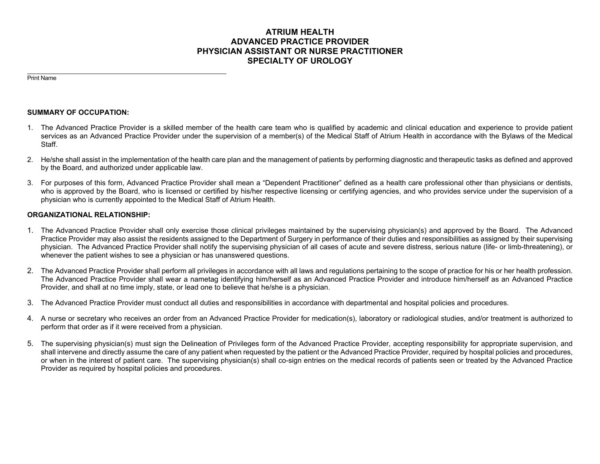# **ATRIUM HEALTH ADVANCED PRACTICE PROVIDER PHYSICIAN ASSISTANT OR NURSE PRACTITIONER SPECIALTY OF UROLOGY**

Print Name

### **SUMMARY OF OCCUPATION:**

- 1. The Advanced Practice Provider is a skilled member of the health care team who is qualified by academic and clinical education and experience to provide patient services as an Advanced Practice Provider under the supervision of a member(s) of the Medical Staff of Atrium Health in accordance with the Bylaws of the Medical Staff.
- 2. He/she shall assist in the implementation of the health care plan and the management of patients by performing diagnostic and therapeutic tasks as defined and approved by the Board, and authorized under applicable law.
- 3. For purposes of this form, Advanced Practice Provider shall mean a "Dependent Practitioner" defined as a health care professional other than physicians or dentists, who is approved by the Board, who is licensed or certified by his/her respective licensing or certifying agencies, and who provides service under the supervision of a physician who is currently appointed to the Medical Staff of Atrium Health.

### **ORGANIZATIONAL RELATIONSHIP:**

- 1. The Advanced Practice Provider shall only exercise those clinical privileges maintained by the supervising physician(s) and approved by the Board. The Advanced Practice Provider may also assist the residents assigned to the Department of Surgery in performance of their duties and responsibilities as assigned by their supervising physician. The Advanced Practice Provider shall notify the supervising physician of all cases of acute and severe distress, serious nature (life- or limb-threatening), or whenever the patient wishes to see a physician or has unanswered questions.
- 2. The Advanced Practice Provider shall perform all privileges in accordance with all laws and regulations pertaining to the scope of practice for his or her health profession. The Advanced Practice Provider shall wear a nametag identifying him/herself as an Advanced Practice Provider and introduce him/herself as an Advanced Practice Provider, and shall at no time imply, state, or lead one to believe that he/she is a physician.
- 3. The Advanced Practice Provider must conduct all duties and responsibilities in accordance with departmental and hospital policies and procedures.
- 4. A nurse or secretary who receives an order from an Advanced Practice Provider for medication(s), laboratory or radiological studies, and/or treatment is authorized to perform that order as if it were received from a physician.
- 5. The supervising physician(s) must sign the Delineation of Privileges form of the Advanced Practice Provider, accepting responsibility for appropriate supervision, and shall intervene and directly assume the care of any patient when requested by the patient or the Advanced Practice Provider, required by hospital policies and procedures, or when in the interest of patient care. The supervising physician(s) shall co-sign entries on the medical records of patients seen or treated by the Advanced Practice Provider as required by hospital policies and procedures.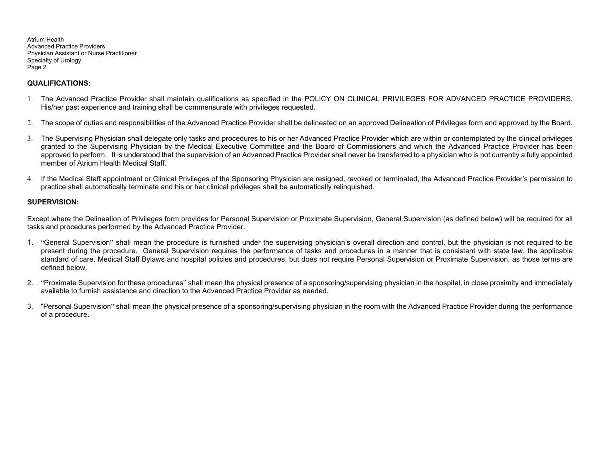### **QUALIFICATIONS:**

- 1. The Advanced Practice Provider shall maintain qualifications as specified in the POLICY ON CLINICAL PRIVILEGES FOR ADVANCED PRACTICE PROVIDERS. His/her past experience and training shall be commensurate with privileges requested.
- 2. The scope of duties and responsibilities of the Advanced Practice Provider shall be delineated on an approved Delineation of Privileges form and approved by the Board.
- 3. The Supervising Physician shall delegate only tasks and procedures to his or her Advanced Practice Provider which are within or contemplated by the clinical privileges granted to the Supervising Physician by the Medical Executive Committee and the Board of Commissioners and which the Advanced Practice Provider has been approved to perform. It is understood that the supervision of an Advanced Practice Provider shall never be transferred to a physician who is not currently a fully appointed member of Atrium Health Medical Staff.
- 4. If the Medical Staff appointment or Clinical Privileges of the Sponsoring Physician are resigned, revoked or terminated, the Advanced Practice Provider's permission to practice shall automatically terminate and his or her clinical privileges shall be automatically relinquished.

### **SUPERVISION:**

Except where the Delineation of Privileges form provides for Personal Supervision or Proximate Supervision, General Supervision (as defined below) will be required for all tasks and procedures performed by the Advanced Practice Provider.

- 1. "General Supervision" shall mean the procedure is furnished under the supervising physician's overall direction and control, but the physician is not required to be present during the procedure. General Supervision requires the performance of tasks and procedures in a manner that is consistent with state law, the applicable standard of care, Medical Staff Bylaws and hospital policies and procedures, but does not require Personal Supervision or Proximate Supervision, as those terms are defined below.
- 2. "Proximate Supervision for these procedures" shall mean the physical presence of a sponsoring/supervising physician in the hospital, in close proximity and immediately available to furnish assistance and direction to the Advanced Practice Provider as needed.
- 3. "Personal Supervision" shall mean the physical presence of a sponsoring/supervising physician in the room with the Advanced Practice Provider during the performance of a procedure.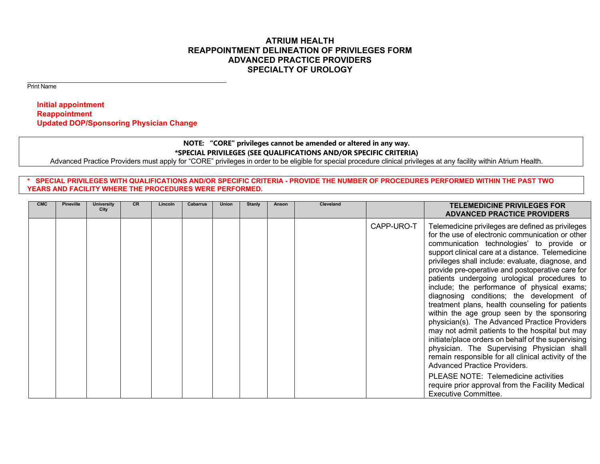# **ATRIUM HEALTH REAPPOINTMENT DELINEATION OF PRIVILEGES FORM ADVANCED PRACTICE PROVIDERS SPECIALTY OF UROLOGY**

Print Name

 **Initial appointment Reappointment Updated DOP/Sponsoring Physician Change** 

## **NOTE: "CORE" privileges cannot be amended or altered in any way. \*SPECIAL PRIVILEGES (SEE QUALIFICATIONS AND/OR SPECIFIC CRITERIA)**

Advanced Practice Providers must apply for "CORE" privileges in order to be eligible for special procedure clinical privileges at any facility within Atrium Health.

### **\* SPECIAL PRIVILEGES WITH QUALIFICATIONS AND/OR SPECIFIC CRITERIA - PROVIDE THE NUMBER OF PROCEDURES PERFORMED WITHIN THE PAST TWO YEARS AND FACILITY WHERE THE PROCEDURES WERE PERFORMED.**

| <b>CMC</b> | <b>Pineville</b> | University<br>City | <b>CR</b> | Lincoln | Cabarrus | <b>Union</b> | <b>Stanly</b> | Anson | <b>Cleveland</b> |            | <b>TELEMEDICINE PRIVILEGES FOR</b><br><b>ADVANCED PRACTICE PROVIDERS</b>                                                                                                                                                                                                                                                                                                                                                                                                                                                                                                                                                                                                                                                                                                                                                                                            |
|------------|------------------|--------------------|-----------|---------|----------|--------------|---------------|-------|------------------|------------|---------------------------------------------------------------------------------------------------------------------------------------------------------------------------------------------------------------------------------------------------------------------------------------------------------------------------------------------------------------------------------------------------------------------------------------------------------------------------------------------------------------------------------------------------------------------------------------------------------------------------------------------------------------------------------------------------------------------------------------------------------------------------------------------------------------------------------------------------------------------|
|            |                  |                    |           |         |          |              |               |       |                  | CAPP-URO-T | Telemedicine privileges are defined as privileges<br>for the use of electronic communication or other<br>communication technologies' to provide or<br>support clinical care at a distance. Telemedicine<br>privileges shall include: evaluate, diagnose, and<br>provide pre-operative and postoperative care for<br>patients undergoing urological procedures to<br>include; the performance of physical exams;<br>diagnosing conditions; the development of<br>treatment plans, health counseling for patients<br>within the age group seen by the sponsoring<br>physician(s). The Advanced Practice Providers<br>may not admit patients to the hospital but may<br>initiate/place orders on behalf of the supervising<br>physician. The Supervising Physician shall<br>remain responsible for all clinical activity of the<br><b>Advanced Practice Providers.</b> |
|            |                  |                    |           |         |          |              |               |       |                  |            | PLEASE NOTE: Telemedicine activities<br>require prior approval from the Facility Medical<br><b>Executive Committee.</b>                                                                                                                                                                                                                                                                                                                                                                                                                                                                                                                                                                                                                                                                                                                                             |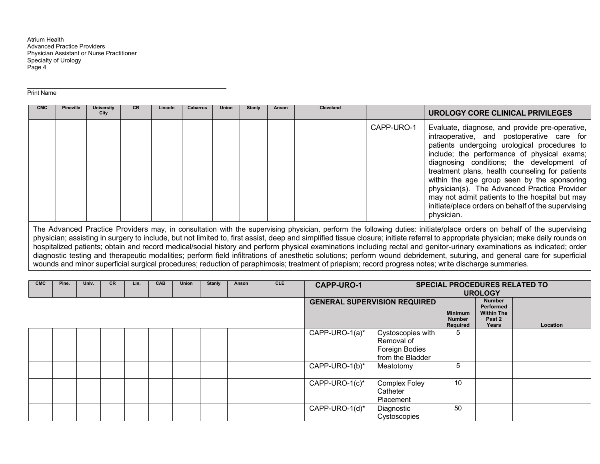#### Print Name

| <b>CMC</b> | <b>Pineville</b> | <b>University</b><br>City | <b>CR</b> | Lincoln | <b>Cabarrus</b> | <b>Union</b> | Stanly | Anson | <b>Cleveland</b> |            | UROLOGY CORE CLINICAL PRIVILEGES                                                                                                                                                                                                                                                                                                                                                                                                                                                                                 |
|------------|------------------|---------------------------|-----------|---------|-----------------|--------------|--------|-------|------------------|------------|------------------------------------------------------------------------------------------------------------------------------------------------------------------------------------------------------------------------------------------------------------------------------------------------------------------------------------------------------------------------------------------------------------------------------------------------------------------------------------------------------------------|
|            |                  |                           |           |         |                 |              |        |       |                  | CAPP-URO-1 | Evaluate, diagnose, and provide pre-operative,<br>intraoperative, and postoperative care for<br>patients undergoing urological procedures to<br>include; the performance of physical exams;<br>diagnosing conditions; the development of<br>treatment plans, health counseling for patients<br>within the age group seen by the sponsoring<br>physician(s). The Advanced Practice Provider<br>may not admit patients to the hospital but may<br>initiate/place orders on behalf of the supervising<br>physician. |

The Advanced Practice Providers may, in consultation with the supervising physician, perform the following duties: initiate/place orders on behalf of the supervising physician; assisting in surgery to include, but not limited to, first assist, deep and simplified tissue closure; initiate referral to appropriate physician; make daily rounds on hospitalized patients; obtain and record medical/social history and perform physical examinations including rectal and genitor-urinary examinations as indicated; order diagnostic testing and therapeutic modalities; perform field infiltrations of anesthetic solutions; perform wound debridement, suturing, and general care for superficial wounds and minor superficial surgical procedures; reduction of paraphimosis; treatment of priapism; record progress notes; write discharge summaries.

| CMC | Pine. | Univ. | <b>CR</b> | Lin. | <b>CAB</b> | <b>Union</b> | <b>Stanly</b> | Anson | CLE | <b>CAPP-URO-1</b>  |                                                                       |                                             | <b>SPECIAL PROCEDURES RELATED TO</b><br><b>UROLOGY</b>             |          |
|-----|-------|-------|-----------|------|------------|--------------|---------------|-------|-----|--------------------|-----------------------------------------------------------------------|---------------------------------------------|--------------------------------------------------------------------|----------|
|     |       |       |           |      |            |              |               |       |     |                    | <b>GENERAL SUPERVISION REQUIRED</b>                                   | <b>Minimum</b><br><b>Number</b><br>Required | <b>Number</b><br>Performed<br><b>Within The</b><br>Past 2<br>Years | Location |
|     |       |       |           |      |            |              |               |       |     | CAPP-URO- $1(a)^*$ | Cystoscopies with<br>Removal of<br>Foreign Bodies<br>from the Bladder | b.                                          |                                                                    |          |
|     |       |       |           |      |            |              |               |       |     | CAPP-URO-1(b)*     | Meatotomy                                                             | 5                                           |                                                                    |          |
|     |       |       |           |      |            |              |               |       |     | CAPP-URO-1(c)*     | <b>Complex Foley</b><br>Catheter<br>Placement                         | 10                                          |                                                                    |          |
|     |       |       |           |      |            |              |               |       |     | CAPP-URO-1(d)*     | Diagnostic<br>Cystoscopies                                            | 50                                          |                                                                    |          |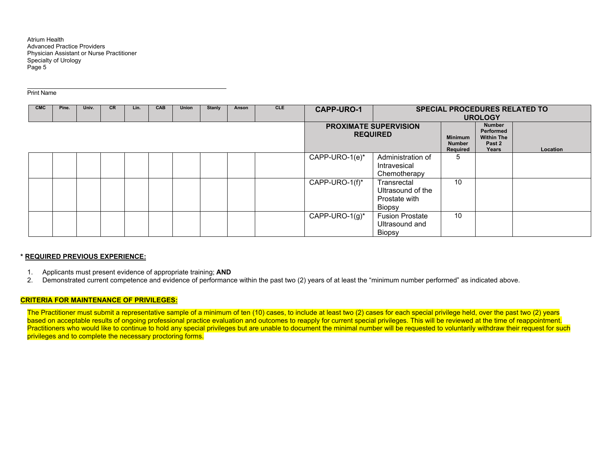#### Print Name

| <b>CMC</b> | Pine. | Univ. | <b>CR</b> | Lin. | CAB | Union | <b>Stanly</b> | Anson | <b>CLE</b> | <b>CAPP-URO-1</b>  |                                                             |                                             | <b>SPECIAL PROCEDURES RELATED TO</b><br><b>UROLOGY</b>             |          |
|------------|-------|-------|-----------|------|-----|-------|---------------|-------|------------|--------------------|-------------------------------------------------------------|---------------------------------------------|--------------------------------------------------------------------|----------|
|            |       |       |           |      |     |       |               |       |            |                    | <b>PROXIMATE SUPERVISION</b><br><b>REQUIRED</b>             | <b>Minimum</b><br><b>Number</b><br>Required | <b>Number</b><br>Performed<br><b>Within The</b><br>Past 2<br>Years | Location |
|            |       |       |           |      |     |       |               |       |            | CAPP-URO-1(e)*     | Administration of<br>Intravesical<br>Chemotherapy           | <sub>5</sub>                                |                                                                    |          |
|            |       |       |           |      |     |       |               |       |            | CAPP-URO-1(f)*     | Transrectal<br>Ultrasound of the<br>Prostate with<br>Biopsy | 10                                          |                                                                    |          |
|            |       |       |           |      |     |       |               |       |            | CAPP-URO-1 $(g)^*$ | <b>Fusion Prostate</b><br>Ultrasound and<br>Biopsy          | 10                                          |                                                                    |          |

#### **\* REQUIRED PREVIOUS EXPERIENCE:**

- 1. Applicants must present evidence of appropriate training; **AND**
- 2. Demonstrated current competence and evidence of performance within the past two (2) years of at least the "minimum number performed" as indicated above.

#### **CRITERIA FOR MAINTENANCE OF PRIVILEGES:**

The Practitioner must submit a representative sample of a minimum of ten (10) cases, to include at least two (2) cases for each special privilege held, over the past two (2) years based on acceptable results of ongoing professional practice evaluation and outcomes to reapply for current special privileges. This will be reviewed at the time of reappointment. Practitioners who would like to continue to hold any special privileges but are unable to document the minimal number will be requested to voluntarily withdraw their request for such privileges and to complete the necessary proctoring forms.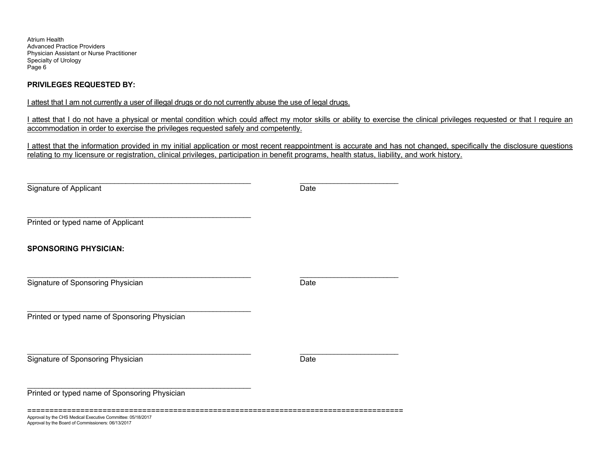### **PRIVILEGES REQUESTED BY:**

I attest that I am not currently a user of illegal drugs or do not currently abuse the use of legal drugs.

I attest that I do not have a physical or mental condition which could affect my motor skills or ability to exercise the clinical privileges requested or that I require an accommodation in order to exercise the privileges requested safely and competently.

I attest that the information provided in my initial application or most recent reappointment is accurate and has not changed, specifically the disclosure questions relating to my licensure or registration, clinical privileges, participation in benefit programs, health status, liability, and work history.

\_\_\_\_\_\_\_\_\_\_\_\_\_\_\_\_\_\_\_\_\_\_\_\_\_\_\_\_\_\_\_\_\_\_\_\_\_\_\_\_\_\_\_\_\_\_\_\_\_\_\_\_\_\_\_\_\_\_\_ \_\_\_\_\_\_\_\_\_\_\_\_\_\_\_\_\_\_\_\_\_\_\_\_\_\_ Signature of Applicant Date

Printed or typed name of Applicant

**SPONSORING PHYSICIAN:** 

Signature of Sponsoring Physician Date Date Date Date

\_\_\_\_\_\_\_\_\_\_\_\_\_\_\_\_\_\_\_\_\_\_\_\_\_\_\_\_\_\_\_\_\_\_\_\_\_\_\_\_\_\_\_\_\_\_\_\_\_\_\_\_\_\_\_\_\_\_\_ Printed or typed name of Sponsoring Physician

**Signature of Sponsoring Physician**  Date **Date Date Date Date Date Date Date** 

Printed or typed name of Sponsoring Physician

\_\_\_\_\_\_\_\_\_\_\_\_\_\_\_\_\_\_\_\_\_\_\_\_\_\_\_\_\_\_\_\_\_\_\_\_\_\_\_\_\_\_\_\_\_\_\_\_\_\_\_\_\_\_\_\_\_\_\_

=====================================================================================

\_\_\_\_\_\_\_\_\_\_\_\_\_\_\_\_\_\_\_\_\_\_\_\_\_\_\_\_\_\_\_\_\_\_\_\_\_\_\_\_\_\_\_\_\_\_\_\_\_\_\_\_\_\_\_\_\_\_\_ \_\_\_\_\_\_\_\_\_\_\_\_\_\_\_\_\_\_\_\_\_\_\_\_\_\_

Approval by the CHS Medical Executive Committee: 05/18/2017 Approval by the Board of Commissioners: 06/13/2017